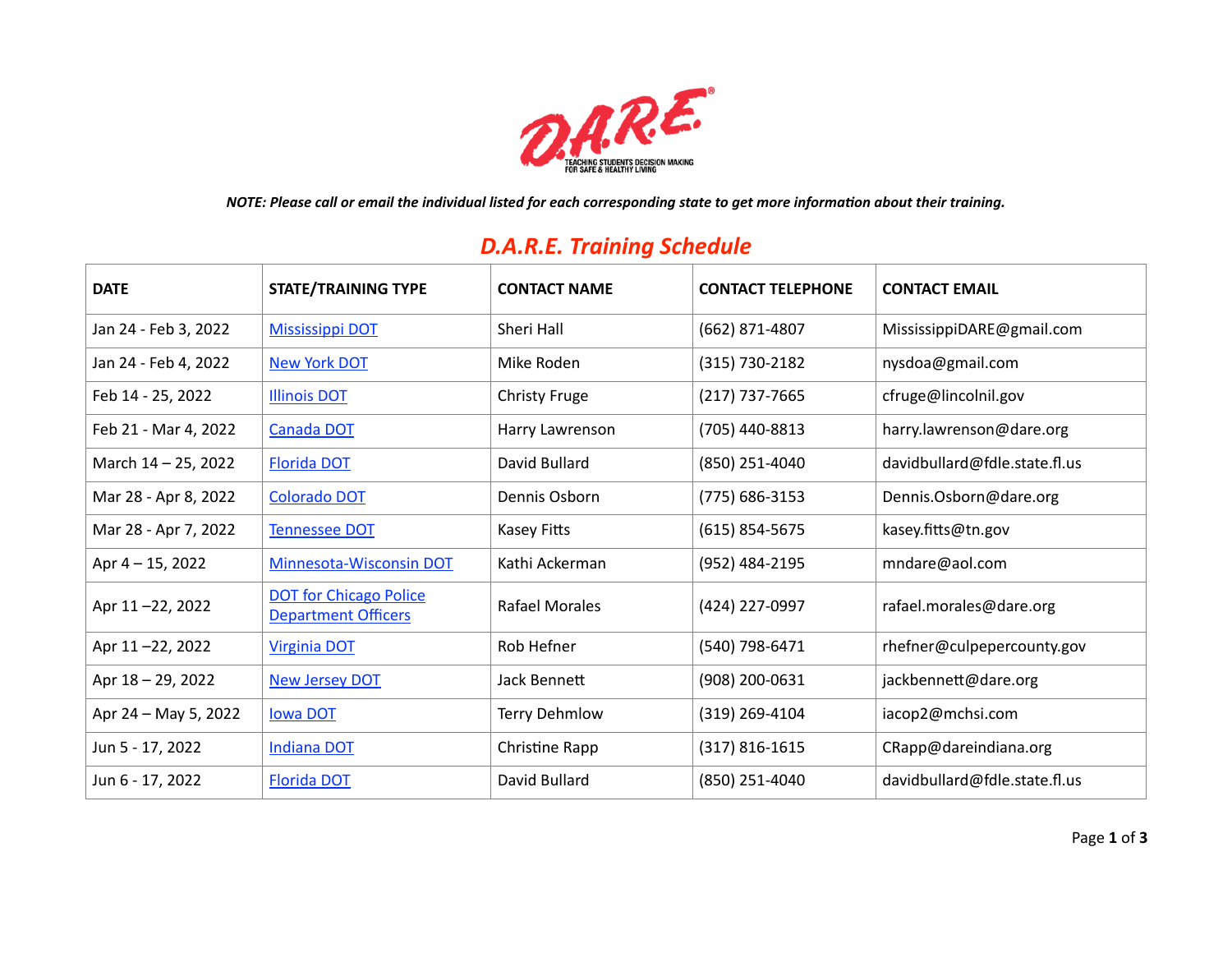

### *D.A.R.E. Training Schedule*

| <b>DATE</b>          | <b>STATE/TRAINING TYPE</b>                                  | <b>CONTACT NAME</b>   | <b>CONTACT TELEPHONE</b> | <b>CONTACT EMAIL</b>          |
|----------------------|-------------------------------------------------------------|-----------------------|--------------------------|-------------------------------|
| Jan 24 - Feb 3, 2022 | <b>Mississippi DOT</b>                                      | Sheri Hall            | (662) 871-4807           | MississippiDARE@gmail.com     |
| Jan 24 - Feb 4, 2022 | <b>New York DOT</b>                                         | Mike Roden            | (315) 730-2182           | nysdoa@gmail.com              |
| Feb 14 - 25, 2022    | <b>Illinois DOT</b>                                         | <b>Christy Fruge</b>  | (217) 737-7665           | cfruge@lincolnil.gov          |
| Feb 21 - Mar 4, 2022 | <b>Canada DOT</b>                                           | Harry Lawrenson       | (705) 440-8813           | harry.lawrenson@dare.org      |
| March 14 - 25, 2022  | <b>Florida DOT</b>                                          | David Bullard         | (850) 251-4040           | davidbullard@fdle.state.fl.us |
| Mar 28 - Apr 8, 2022 | <b>Colorado DOT</b>                                         | Dennis Osborn         | (775) 686-3153           | Dennis.Osborn@dare.org        |
| Mar 28 - Apr 7, 2022 | <b>Tennessee DOT</b>                                        | Kasey Fitts           | $(615)$ 854-5675         | kasey.fitts@tn.gov            |
| Apr 4 - 15, 2022     | Minnesota-Wisconsin DOT                                     | Kathi Ackerman        | (952) 484-2195           | mndare@aol.com                |
| Apr 11-22, 2022      | <b>DOT for Chicago Police</b><br><b>Department Officers</b> | <b>Rafael Morales</b> | (424) 227-0997           | rafael.morales@dare.org       |
| Apr 11-22, 2022      | <b>Virginia DOT</b>                                         | Rob Hefner            | (540) 798-6471           | rhefner@culpepercounty.gov    |
| Apr 18 - 29, 2022    | <b>New Jersey DOT</b>                                       | Jack Bennett          | (908) 200-0631           | jackbennett@dare.org          |
| Apr 24 – May 5, 2022 | <b>Iowa DOT</b>                                             | <b>Terry Dehmlow</b>  | (319) 269-4104           | iacop2@mchsi.com              |
| Jun 5 - 17, 2022     | <b>Indiana DOT</b>                                          | Christine Rapp        | $(317) 816 - 1615$       | CRapp@dareindiana.org         |
| Jun 6 - 17, 2022     | <b>Florida DOT</b>                                          | David Bullard         | (850) 251-4040           | davidbullard@fdle.state.fl.us |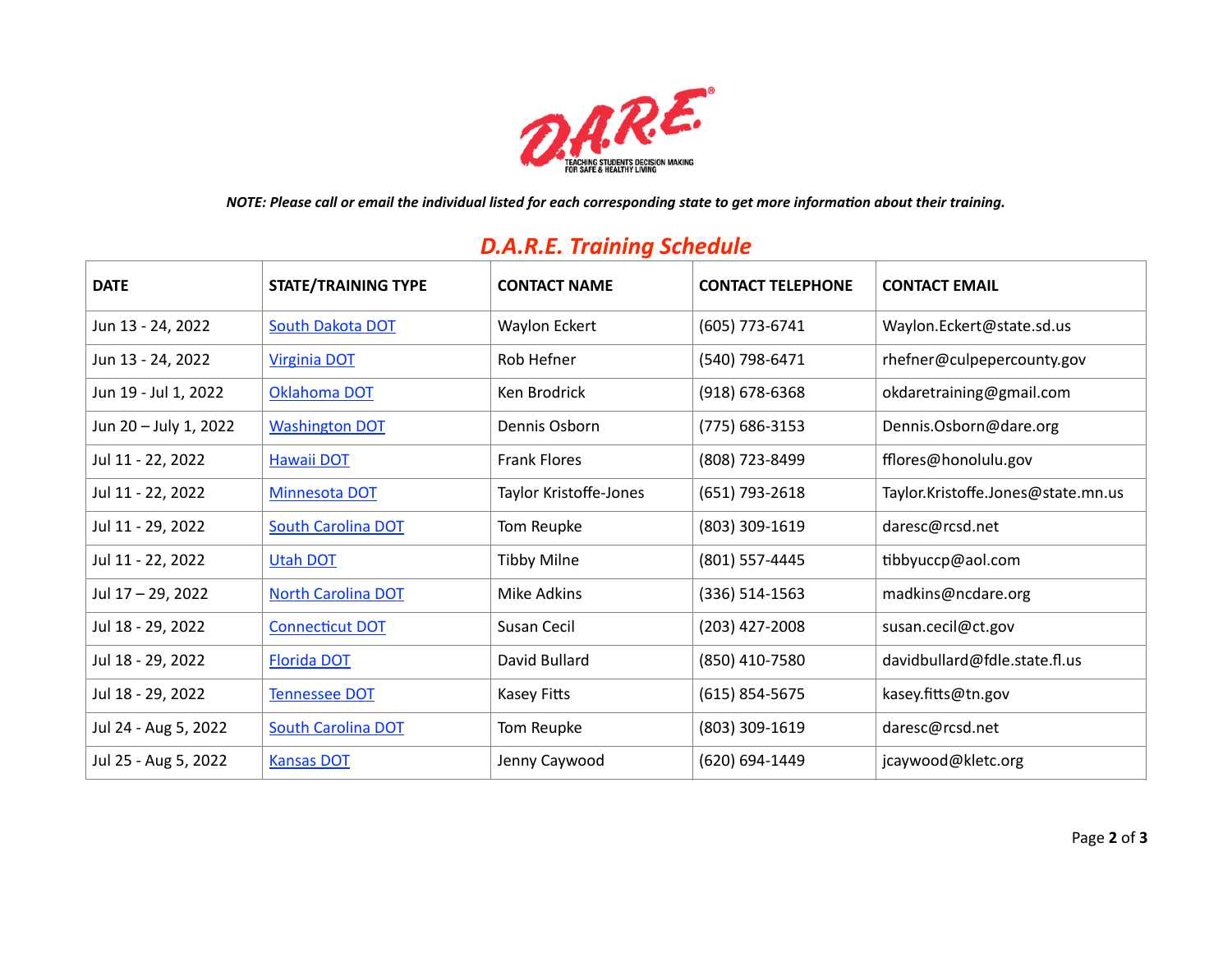

*NOTE: Please call or email the individual listed for each corresponding state to get more information about their training.*

# Jun 13 - 24, 2022 [South Dakota DOT](https://dare.org/event/south-dakota-d-a-r-e-officer-training-2022/) Waylon Eckert (605) 773-6741 Waylon.Eckert@state.sd.us Jun 13 - 24, 2022 [Virginia DOT](https://dare.org/event/virginia-d-a-r-e-officer-training-2022-3/) Rob Hefner (540) 798-6471 rhefner@culpepercounty.gov Jun 19 - Jul 1, 2022 [Oklahoma DOT](https://dare.org/event/oklahoma-d-a-r-e-officer-training-2022/) Ken Brodrick (918) 678-6368 okdaretraining@gmail.com Jun 20 – July 1, 2022 [Washington DOT](https://dare.org/event/washington-state-d-a-r-e-officer-training-2022/) Dennis Osborn (775) 686-3153 Dennis.Osborn@dare.org Jul 11 - 22, 2022 [Hawaii DOT](https://dare.org/event/hawaii-d-a-r-e-officer-training-2022/) Frank Flores (808) 723-8499 fflores@honolulu.gov Jul 11 - 22, 2022 [Minnesota DOT](https://dare.org/event/minnesota-d-a-r-e-officer-training-2022/) Taylor Kristoffe-Jones (651) 793-2618 Taylor.Kristoffe.Jones@state.mn.us Jul 11 - 29, 2022 [South Carolina DOT](https://dare.org/event/south-carolina-d-a-r-e-officer-training-2022/) Tom Reupke (803) 309-1619 daresc@rcsd.net Jul 11 - 22, 2022 [Utah DOT](https://dare.org/event/utah-d-a-r-e-officer-training-2022/) Tibby Milne (801) 557-4445 tibbyuccp@aol.com Jul 17 – 29, 2022 [North Carolina DOT](https://dare.org/event/north-carolina-d-a-r-e-officer-training-2022/) Mike Adkins (336) 514-1563 madkins@ncdare.org Jul 18 - 29, 2022 [Connecticut DOT](https://dare.org/event/connecticut-d-a-r-e-officer-training-2022/) Susan Cecil (203) 427-2008 susan.cecil@ct.gov Jul 18 - 29, 2022 [Florida DOT](https://dare.org/event/florida-d-a-r-e-officer-training-2022-3/) David Bullard (850) 410-7580 davidbullard@fdle.state.fl.us Jul 18 - 29, 2022 [Tennessee DOT](https://dare.org/event/tennessee-d-a-r-e-officer-training-2022-2/) Kasey Fitts (615) 854-5675 kasey.fitts@tn.gov Jul 24 - Aug 5, 2022 [South Carolina DOT](https://dare.org/event/south-carolina-d-a-r-e-officer-training-2022-2/) Tom Reupke (803) 309-1619 daresc@rcsd.net Jul 25 - Aug 5, 2022 [Kansas DOT](https://dare.org/event/kansas-d-a-r-e-officer-training-2022/) Jenny Caywood (620) 694-1449 jcaywood@kletc.org **DATE STATE/TRAINING TYPE CONTACT NAME CONTACT TELEPHONE CONTACT EMAIL**

#### *D.A.R.E. Training Schedule*